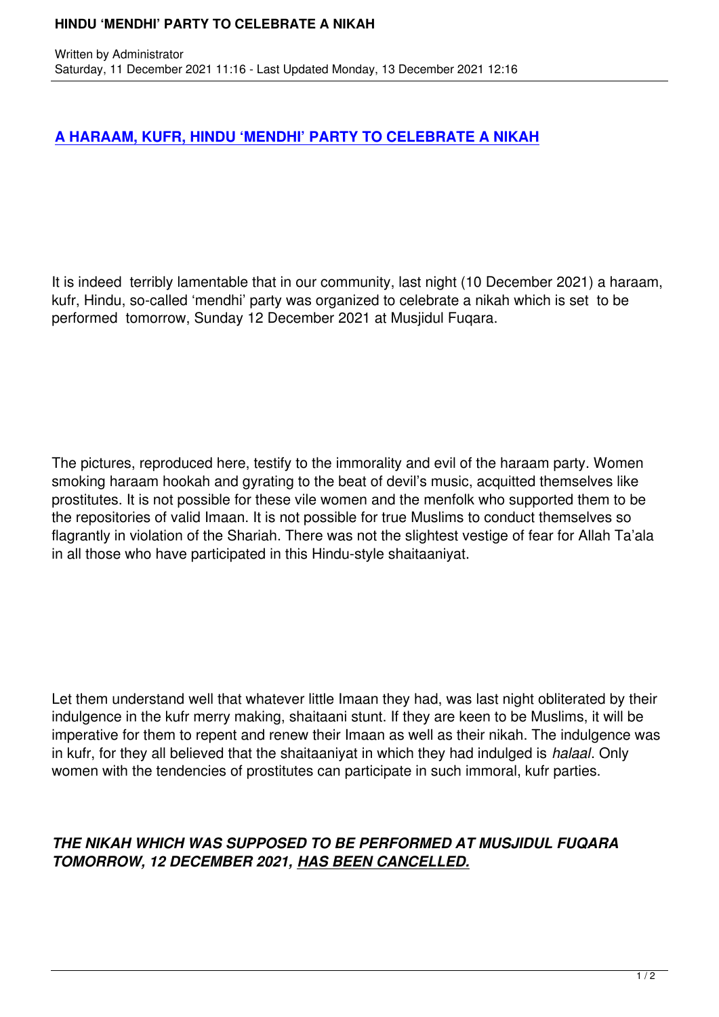Written by Administrator and Administrator and Administrator and Administrator and Administrator and Administrator and Administrator and Administrator and Administrator and Administrator and Administrator and Administrator

## **A HARAAM, KUFR, HINDU 'MENDHI' PARTY TO CELEBRATE A NIKAH**

It is indeed terribly lamentable that in our community, last night (10 December 2021) a haraam, kufr, Hindu, so-called 'mendhi' party was organized to celebrate a nikah which is set to be performed tomorrow, Sunday 12 December 2021 at Musjidul Fuqara.

The pictures, reproduced here, testify to the immorality and evil of the haraam party. Women smoking haraam hookah and gyrating to the beat of devil's music, acquitted themselves like prostitutes. It is not possible for these vile women and the menfolk who supported them to be the repositories of valid Imaan. It is not possible for true Muslims to conduct themselves so flagrantly in violation of the Shariah. There was not the slightest vestige of fear for Allah Ta'ala in all those who have participated in this Hindu-style shaitaaniyat.

Let them understand well that whatever little Imaan they had, was last night obliterated by their indulgence in the kufr merry making, shaitaani stunt. If they are keen to be Muslims, it will be imperative for them to repent and renew their Imaan as well as their nikah. The indulgence was in kufr, for they all believed that the shaitaaniyat in which they had indulged is *halaal*. Only women with the tendencies of prostitutes can participate in such immoral, kufr parties.

## *THE NIKAH WHICH WAS SUPPOSED TO BE PERFORMED AT MUSJIDUL FUQARA TOMORROW, 12 DECEMBER 2021, HAS BEEN CANCELLED.*